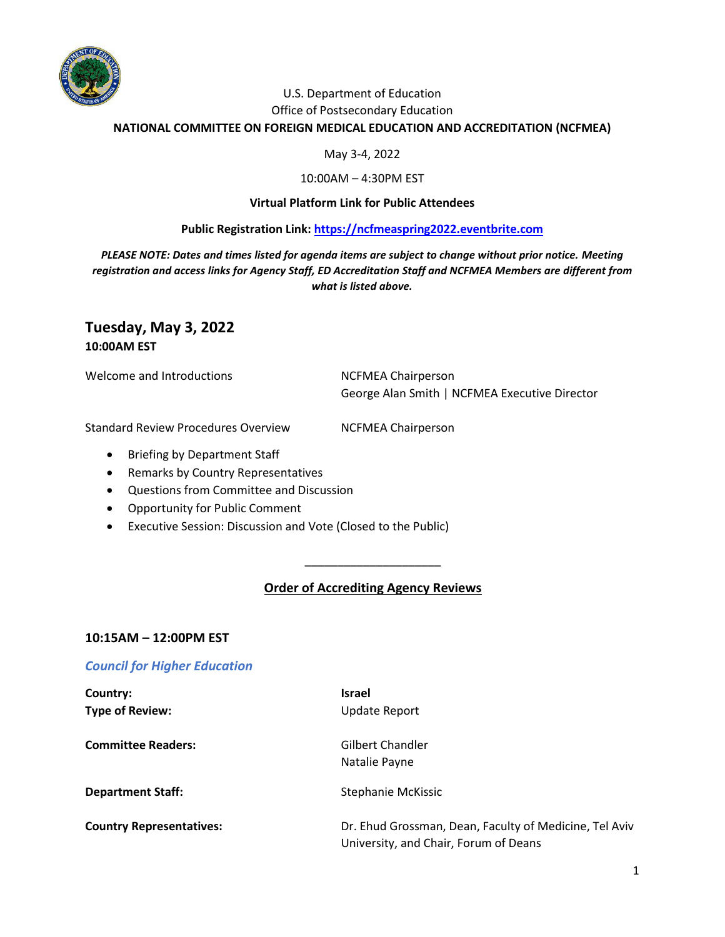

# U.S. Department of Education

#### Office of Postsecondary Education

**NATIONAL COMMITTEE ON FOREIGN MEDICAL EDUCATION AND ACCREDITATION (NCFMEA)**

#### May 3-4, 2022

#### 10:00AM – 4:30PM EST

#### **Virtual Platform Link for Public Attendees**

#### **Public Registration Link: [https://ncfmeaspring2022.eventbrite.com](https://ncfmeaspring2022.eventbrite.com/)**

*PLEASE NOTE: Dates and times listed for agenda items are subject to change without prior notice. Meeting registration and access links for Agency Staff, ED Accreditation Staff and NCFMEA Members are different from what is listed above.*

# **Tuesday, May 3, 2022**

**10:00AM EST**

Welcome and Introductions NCFMEA Chairperson

George Alan Smith | NCFMEA Executive Director

Standard Review Procedures Overview NCFMEA Chairperson

- Briefing by Department Staff
- Remarks by Country Representatives
- Questions from Committee and Discussion
- Opportunity for Public Comment
- Executive Session: Discussion and Vote (Closed to the Public)

## **Order of Accrediting Agency Reviews**

\_\_\_\_\_\_\_\_\_\_\_\_\_\_\_\_\_\_\_\_\_

#### **10:15AM – 12:00PM EST**

## *Council for Higher Education*

| Country:                        | <b>Israel</b>                                                                                   |
|---------------------------------|-------------------------------------------------------------------------------------------------|
| <b>Type of Review:</b>          | <b>Update Report</b>                                                                            |
| <b>Committee Readers:</b>       | Gilbert Chandler<br>Natalie Payne                                                               |
| <b>Department Staff:</b>        | Stephanie McKissic                                                                              |
| <b>Country Representatives:</b> | Dr. Ehud Grossman, Dean, Faculty of Medicine, Tel Aviv<br>University, and Chair, Forum of Deans |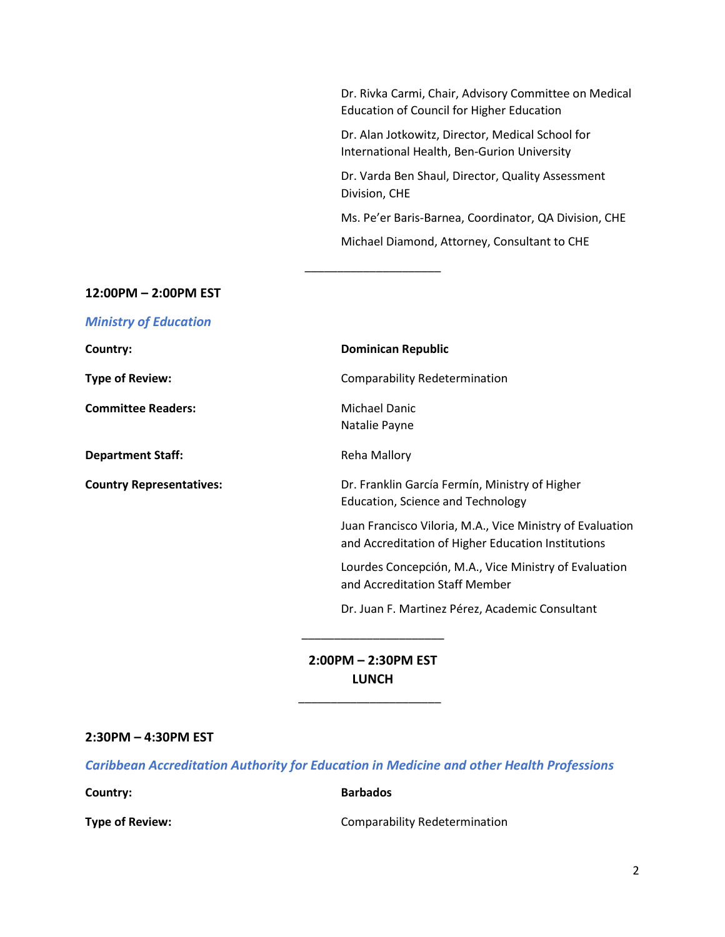Dr. Rivka Carmi, Chair, Advisory Committee on Medical Education of Council for Higher Education Dr. Alan Jotkowitz, Director, Medical School for International Health, Ben-Gurion University Dr. Varda Ben Shaul, Director, Quality Assessment Division, CHE Ms. Pe'er Baris-Barnea, Coordinator, QA Division, CHE Michael Diamond, Attorney, Consultant to CHE

#### **12:00PM – 2:00PM EST**

*Ministry of Education*

| Country:                        | <b>Dominican Republic</b>                                                                                       |
|---------------------------------|-----------------------------------------------------------------------------------------------------------------|
| <b>Type of Review:</b>          | <b>Comparability Redetermination</b>                                                                            |
| <b>Committee Readers:</b>       | <b>Michael Danic</b><br>Natalie Payne                                                                           |
| <b>Department Staff:</b>        | Reha Mallory                                                                                                    |
| <b>Country Representatives:</b> | Dr. Franklin García Fermín, Ministry of Higher<br>Education, Science and Technology                             |
|                                 | Juan Francisco Viloria, M.A., Vice Ministry of Evaluation<br>and Accreditation of Higher Education Institutions |
|                                 | Lourdes Concepción, M.A., Vice Ministry of Evaluation<br>and Accreditation Staff Member                         |
|                                 | Dr. Juan F. Martinez Pérez, Academic Consultant                                                                 |
|                                 |                                                                                                                 |

\_\_\_\_\_\_\_\_\_\_\_\_\_\_\_\_\_\_\_\_\_

**2:00PM – 2:30PM EST LUNCH**

\_\_\_\_\_\_\_\_\_\_\_\_\_\_\_\_\_\_\_\_\_\_

#### **2:30PM – 4:30PM EST**

*Caribbean Accreditation Authority for Education in Medicine and other Health Professions*

**Country: Barbados** 

**Type of Review:** Comparability Redetermination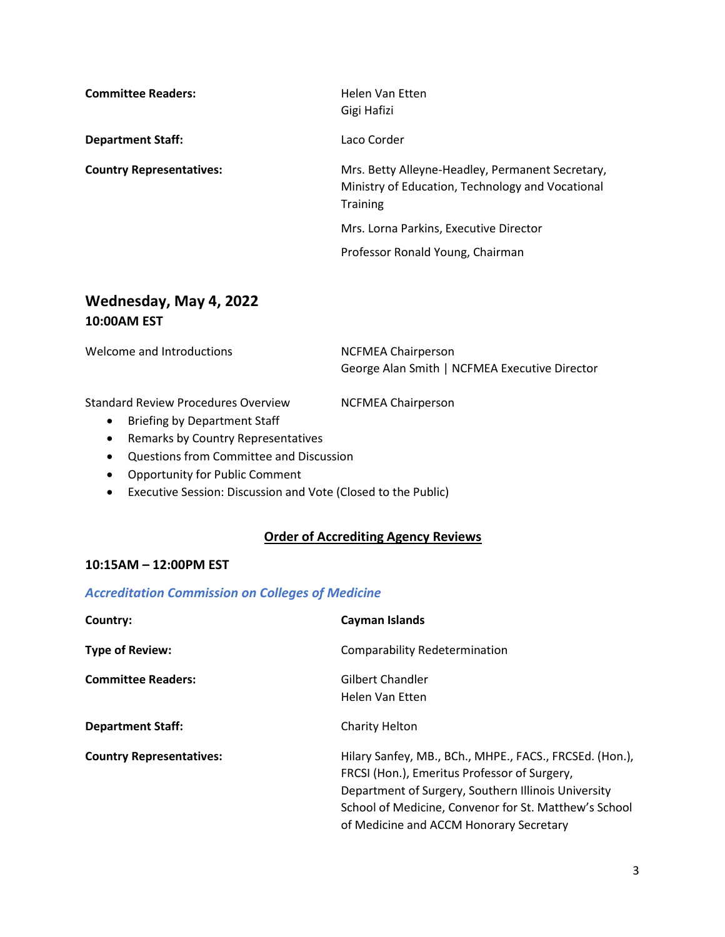| <b>Committee Readers:</b>       | Helen Van Etten<br>Gigi Hafizi                                                                                          |
|---------------------------------|-------------------------------------------------------------------------------------------------------------------------|
| <b>Department Staff:</b>        | Laco Corder                                                                                                             |
| <b>Country Representatives:</b> | Mrs. Betty Alleyne-Headley, Permanent Secretary,<br>Ministry of Education, Technology and Vocational<br><b>Training</b> |
|                                 | Mrs. Lorna Parkins, Executive Director                                                                                  |

# **Wednesday, May 4, 2022 10:00AM EST**

Welcome and Introductions MCFMEA Chairperson George Alan Smith | NCFMEA Executive Director

Standard Review Procedures Overview NCFMEA Chairperson

Professor Ronald Young, Chairman

- Briefing by Department Staff
- Remarks by Country Representatives
- Questions from Committee and Discussion
- Opportunity for Public Comment
- Executive Session: Discussion and Vote (Closed to the Public)

# **Order of Accrediting Agency Reviews**

## **10:15AM – 12:00PM EST**

#### *Accreditation Commission on Colleges of Medicine*

| Country:                        | Cayman Islands                                                                                                                                                                                                                                                     |
|---------------------------------|--------------------------------------------------------------------------------------------------------------------------------------------------------------------------------------------------------------------------------------------------------------------|
| <b>Type of Review:</b>          | <b>Comparability Redetermination</b>                                                                                                                                                                                                                               |
| <b>Committee Readers:</b>       | Gilbert Chandler<br>Helen Van Etten                                                                                                                                                                                                                                |
| <b>Department Staff:</b>        | Charity Helton                                                                                                                                                                                                                                                     |
| <b>Country Representatives:</b> | Hilary Sanfey, MB., BCh., MHPE., FACS., FRCSEd. (Hon.),<br>FRCSI (Hon.), Emeritus Professor of Surgery,<br>Department of Surgery, Southern Illinois University<br>School of Medicine, Convenor for St. Matthew's School<br>of Medicine and ACCM Honorary Secretary |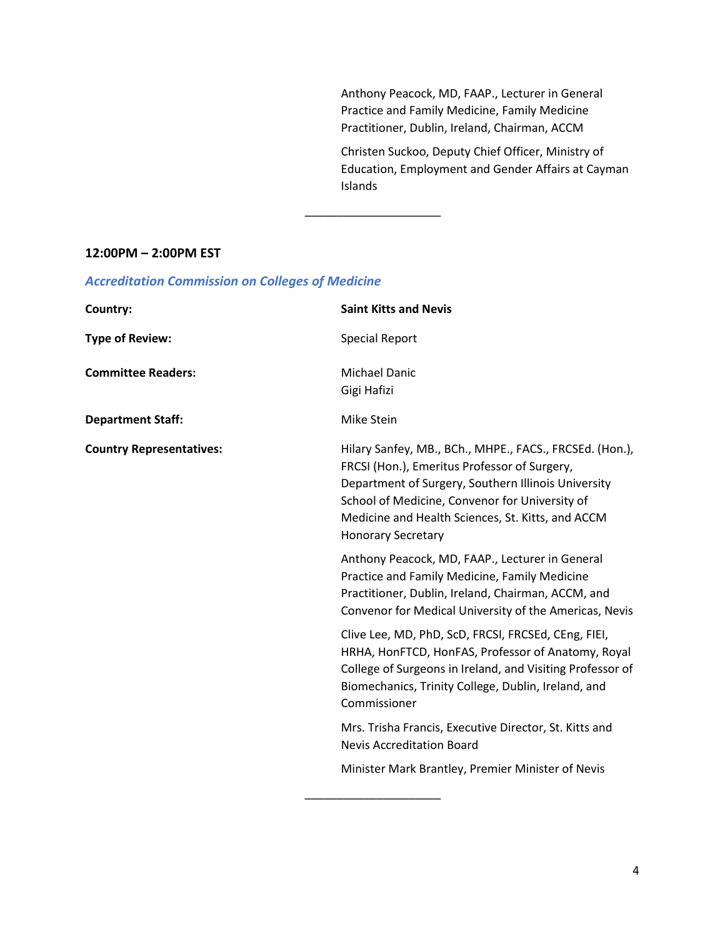Anthony Peacock, MD, FAAP., Lecturer in General Practice and Family Medicine, Family Medicine Practitioner, Dublin, Ireland, Chairman, ACCM

Christen Suckoo, Deputy Chief Officer, Ministry of Education, Employment and Gender Affairs at Cayman Islands

#### **12:00PM – 2:00PM EST**

| Country:                        | <b>Saint Kitts and Nevis</b>                                                                                                                                                                                                                                                                       |
|---------------------------------|----------------------------------------------------------------------------------------------------------------------------------------------------------------------------------------------------------------------------------------------------------------------------------------------------|
| <b>Type of Review:</b>          | <b>Special Report</b>                                                                                                                                                                                                                                                                              |
| <b>Committee Readers:</b>       | <b>Michael Danic</b><br>Gigi Hafizi                                                                                                                                                                                                                                                                |
| <b>Department Staff:</b>        | Mike Stein                                                                                                                                                                                                                                                                                         |
| <b>Country Representatives:</b> | Hilary Sanfey, MB., BCh., MHPE., FACS., FRCSEd. (Hon.),<br>FRCSI (Hon.), Emeritus Professor of Surgery,<br>Department of Surgery, Southern Illinois University<br>School of Medicine, Convenor for University of<br>Medicine and Health Sciences, St. Kitts, and ACCM<br><b>Honorary Secretary</b> |
|                                 | Anthony Peacock, MD, FAAP., Lecturer in General<br>Practice and Family Medicine, Family Medicine<br>Practitioner, Dublin, Ireland, Chairman, ACCM, and<br>Convenor for Medical University of the Americas, Nevis                                                                                   |
|                                 | Clive Lee, MD, PhD, ScD, FRCSI, FRCSEd, CEng, FIEI,<br>HRHA, HonFTCD, HonFAS, Professor of Anatomy, Royal<br>College of Surgeons in Ireland, and Visiting Professor of<br>Biomechanics, Trinity College, Dublin, Ireland, and<br>Commissioner                                                      |
|                                 | Mrs. Trisha Francis, Executive Director, St. Kitts and<br><b>Nevis Accreditation Board</b>                                                                                                                                                                                                         |
|                                 | Minister Mark Brantley, Premier Minister of Nevis                                                                                                                                                                                                                                                  |

\_\_\_\_\_\_\_\_\_\_\_\_\_\_\_\_\_\_\_\_\_

# *Accreditation Commission on Colleges of Medicine*